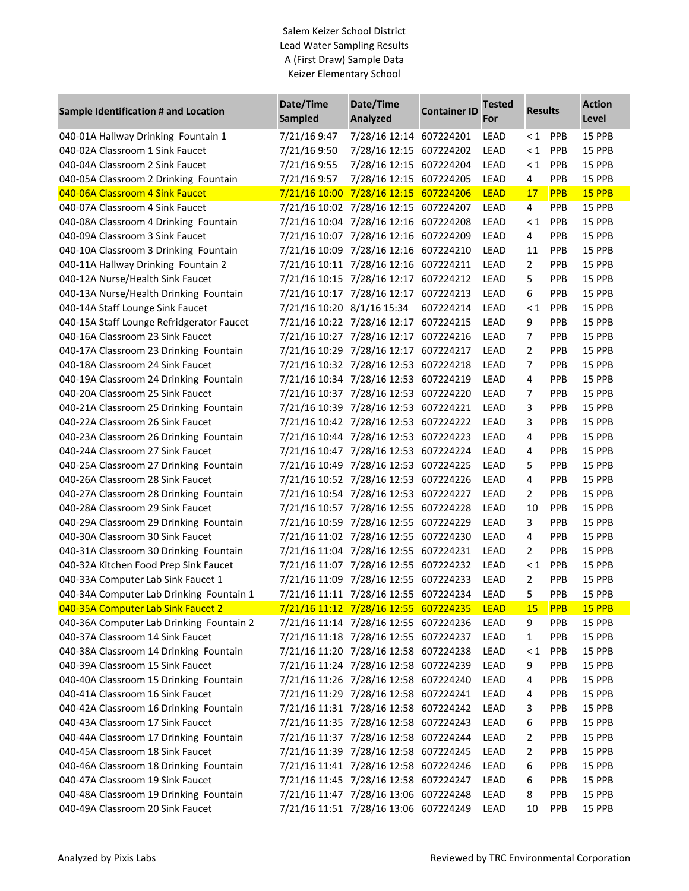## Salem Keizer School District Lead Water Sampling Results A (First Draw) Sample Data Keizer Elementary School

| <b>Sample Identification # and Location</b> | Date/Time<br><b>Sampled</b> | Date/Time<br>Analyzed                 | <b>Container ID</b> | <b>Tested</b><br>For | <b>Results</b> |            | <b>Action</b><br>Level |
|---------------------------------------------|-----------------------------|---------------------------------------|---------------------|----------------------|----------------|------------|------------------------|
| 040-01A Hallway Drinking Fountain 1         | 7/21/16 9:47                | 7/28/16 12:14 607224201               |                     | LEAD                 | $\leq 1$       | PPB        | 15 PPB                 |
| 040-02A Classroom 1 Sink Faucet             | 7/21/16 9:50                | 7/28/16 12:15 607224202               |                     | LEAD                 | $\leq 1$       | PPB        | 15 PPB                 |
| 040-04A Classroom 2 Sink Faucet             | 7/21/16 9:55                | 7/28/16 12:15 607224204               |                     | <b>LEAD</b>          | $\leq 1$       | PPB        | 15 PPB                 |
| 040-05A Classroom 2 Drinking Fountain       | 7/21/16 9:57                | 7/28/16 12:15 607224205               |                     | LEAD                 | 4              | PPB        | 15 PPB                 |
| 040-06A Classroom 4 Sink Faucet             |                             | 7/21/16 10:00 7/28/16 12:15 607224206 |                     | <b>LEAD</b>          | 17             | PPB        | 15 PPB                 |
| 040-07A Classroom 4 Sink Faucet             |                             | 7/21/16 10:02 7/28/16 12:15 607224207 |                     | LEAD                 | 4              | PPB        | 15 PPB                 |
| 040-08A Classroom 4 Drinking Fountain       |                             | 7/21/16 10:04 7/28/16 12:16 607224208 |                     | LEAD                 | $\leq 1$       | PPB        | 15 PPB                 |
| 040-09A Classroom 3 Sink Faucet             |                             | 7/21/16 10:07 7/28/16 12:16 607224209 |                     | LEAD                 | 4              | PPB        | 15 PPB                 |
| 040-10A Classroom 3 Drinking Fountain       |                             | 7/21/16 10:09 7/28/16 12:16 607224210 |                     | <b>LEAD</b>          | 11             | PPB        | 15 PPB                 |
| 040-11A Hallway Drinking Fountain 2         |                             | 7/21/16 10:11 7/28/16 12:16 607224211 |                     | <b>LEAD</b>          | $\overline{2}$ | PPB        | 15 PPB                 |
| 040-12A Nurse/Health Sink Faucet            |                             | 7/21/16 10:15 7/28/16 12:17 607224212 |                     | LEAD                 | 5              | PPB        | 15 PPB                 |
| 040-13A Nurse/Health Drinking Fountain      |                             | 7/21/16 10:17 7/28/16 12:17 607224213 |                     | LEAD                 | 6              | PPB        | 15 PPB                 |
| 040-14A Staff Lounge Sink Faucet            | 7/21/16 10:20 8/1/16 15:34  |                                       | 607224214           | LEAD                 | $\leq 1$       | PPB        | 15 PPB                 |
| 040-15A Staff Lounge Refridgerator Faucet   |                             | 7/21/16 10:22 7/28/16 12:17 607224215 |                     | LEAD                 | 9              | PPB        | 15 PPB                 |
| 040-16A Classroom 23 Sink Faucet            |                             | 7/21/16 10:27 7/28/16 12:17 607224216 |                     | LEAD                 | 7              | PPB        | 15 PPB                 |
| 040-17A Classroom 23 Drinking Fountain      |                             | 7/21/16 10:29 7/28/16 12:17 607224217 |                     | LEAD                 | 2              | PPB        | 15 PPB                 |
| 040-18A Classroom 24 Sink Faucet            |                             | 7/21/16 10:32 7/28/16 12:53 607224218 |                     | LEAD                 | 7              | PPB        | 15 PPB                 |
| 040-19A Classroom 24 Drinking Fountain      |                             | 7/21/16 10:34 7/28/16 12:53 607224219 |                     | LEAD                 | 4              | PPB        | 15 PPB                 |
| 040-20A Classroom 25 Sink Faucet            |                             | 7/21/16 10:37 7/28/16 12:53 607224220 |                     | LEAD                 | 7              | PPB        | 15 PPB                 |
| 040-21A Classroom 25 Drinking Fountain      |                             | 7/21/16 10:39 7/28/16 12:53 607224221 |                     | <b>LEAD</b>          | 3              | PPB        | 15 PPB                 |
| 040-22A Classroom 26 Sink Faucet            |                             | 7/21/16 10:42 7/28/16 12:53 607224222 |                     | LEAD                 | 3              | PPB        | 15 PPB                 |
| 040-23A Classroom 26 Drinking Fountain      |                             | 7/21/16 10:44 7/28/16 12:53 607224223 |                     | <b>LEAD</b>          | 4              | PPB        | 15 PPB                 |
| 040-24A Classroom 27 Sink Faucet            |                             | 7/21/16 10:47 7/28/16 12:53 607224224 |                     | LEAD                 | 4              | PPB        | 15 PPB                 |
| 040-25A Classroom 27 Drinking Fountain      |                             | 7/21/16 10:49 7/28/16 12:53 607224225 |                     | LEAD                 | 5              | PPB        | 15 PPB                 |
| 040-26A Classroom 28 Sink Faucet            |                             | 7/21/16 10:52 7/28/16 12:53 607224226 |                     | LEAD                 | 4              | PPB        | 15 PPB                 |
| 040-27A Classroom 28 Drinking Fountain      |                             | 7/21/16 10:54 7/28/16 12:53 607224227 |                     | <b>LEAD</b>          | $\overline{2}$ | PPB        | 15 PPB                 |
| 040-28A Classroom 29 Sink Faucet            |                             | 7/21/16 10:57 7/28/16 12:55 607224228 |                     | LEAD                 | 10             | PPB        | 15 PPB                 |
| 040-29A Classroom 29 Drinking Fountain      |                             | 7/21/16 10:59 7/28/16 12:55 607224229 |                     | LEAD                 | 3              | PPB        | 15 PPB                 |
| 040-30A Classroom 30 Sink Faucet            |                             | 7/21/16 11:02 7/28/16 12:55 607224230 |                     | LEAD                 | 4              | PPB        | 15 PPB                 |
| 040-31A Classroom 30 Drinking Fountain      |                             | 7/21/16 11:04 7/28/16 12:55 607224231 |                     | LEAD                 | $\overline{2}$ | PPB        | 15 PPB                 |
| 040-32A Kitchen Food Prep Sink Faucet       |                             | 7/21/16 11:07 7/28/16 12:55 607224232 |                     | LEAD                 | $\leq 1$       | PPB        | 15 PPB                 |
| 040-33A Computer Lab Sink Faucet 1          |                             | 7/21/16 11:09 7/28/16 12:55 607224233 |                     | <b>LEAD</b>          | 2              | PPB        | 15 PPB                 |
| 040-34A Computer Lab Drinking Fountain 1    |                             | 7/21/16 11:11 7/28/16 12:55 607224234 |                     | <b>LEAD</b>          | 5              | PPB        | 15 PPB                 |
| 040-35A Computer Lab Sink Faucet 2          |                             | 7/21/16 11:12 7/28/16 12:55 607224235 |                     | <b>LEAD</b>          | <b>15</b>      | <b>PPB</b> | 15 PPB                 |
| 040-36A Computer Lab Drinking Fountain 2    |                             | 7/21/16 11:14 7/28/16 12:55 607224236 |                     | LEAD                 | 9              | <b>PPB</b> | 15 PPB                 |
| 040-37A Classroom 14 Sink Faucet            |                             | 7/21/16 11:18 7/28/16 12:55 607224237 |                     | LEAD                 | $\mathbf{1}$   | <b>PPB</b> | 15 PPB                 |
| 040-38A Classroom 14 Drinking Fountain      |                             | 7/21/16 11:20 7/28/16 12:58 607224238 |                     | LEAD                 | $\leq 1$       | <b>PPB</b> | 15 PPB                 |
| 040-39A Classroom 15 Sink Faucet            |                             | 7/21/16 11:24 7/28/16 12:58 607224239 |                     | <b>LEAD</b>          | 9              | <b>PPB</b> | 15 PPB                 |
| 040-40A Classroom 15 Drinking Fountain      |                             | 7/21/16 11:26 7/28/16 12:58 607224240 |                     | LEAD                 | 4              | <b>PPB</b> | 15 PPB                 |
| 040-41A Classroom 16 Sink Faucet            |                             | 7/21/16 11:29 7/28/16 12:58 607224241 |                     | LEAD                 |                | <b>PPB</b> | 15 PPB                 |
| 040-42A Classroom 16 Drinking Fountain      |                             | 7/21/16 11:31 7/28/16 12:58 607224242 |                     |                      | 4              |            |                        |
|                                             |                             |                                       |                     | LEAD                 | 3              | <b>PPB</b> | 15 PPB                 |
| 040-43A Classroom 17 Sink Faucet            |                             | 7/21/16 11:35 7/28/16 12:58 607224243 |                     | LEAD                 | 6              | <b>PPB</b> | 15 PPB                 |
| 040-44A Classroom 17 Drinking Fountain      |                             | 7/21/16 11:37 7/28/16 12:58 607224244 |                     | LEAD                 | 2              | <b>PPB</b> | 15 PPB                 |
| 040-45A Classroom 18 Sink Faucet            |                             | 7/21/16 11:39 7/28/16 12:58 607224245 |                     | LEAD                 | 2              | <b>PPB</b> | 15 PPB                 |
| 040-46A Classroom 18 Drinking Fountain      |                             | 7/21/16 11:41 7/28/16 12:58 607224246 |                     | LEAD                 | 6              | <b>PPB</b> | 15 PPB                 |
| 040-47A Classroom 19 Sink Faucet            |                             | 7/21/16 11:45 7/28/16 12:58 607224247 |                     | LEAD                 | 6              | <b>PPB</b> | 15 PPB                 |
| 040-48A Classroom 19 Drinking Fountain      |                             | 7/21/16 11:47 7/28/16 13:06 607224248 |                     | LEAD                 | 8              | <b>PPB</b> | 15 PPB                 |
| 040-49A Classroom 20 Sink Faucet            |                             | 7/21/16 11:51 7/28/16 13:06 607224249 |                     | LEAD                 | 10             | <b>PPB</b> | 15 PPB                 |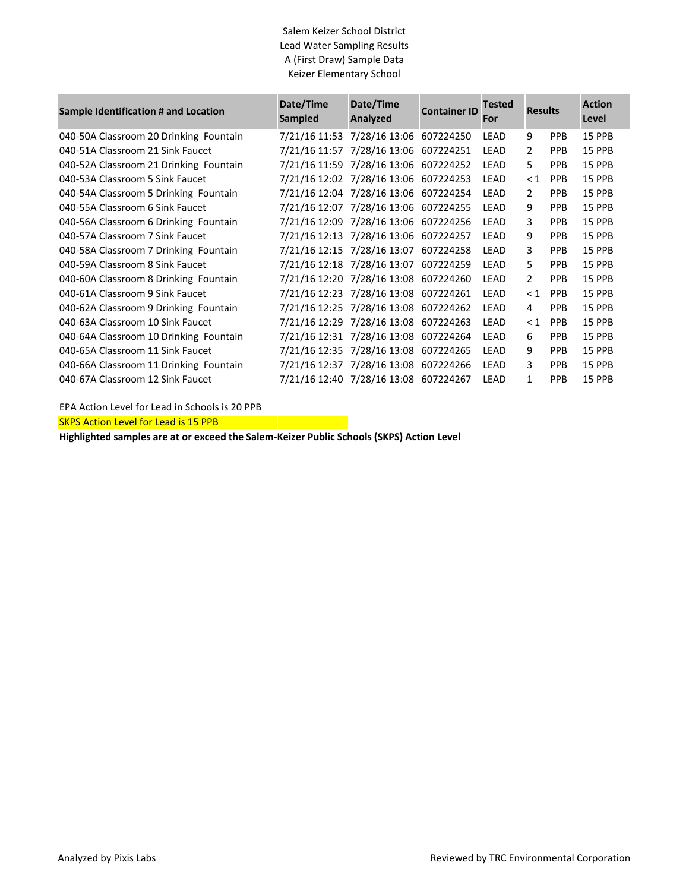## Salem Keizer School District Lead Water Sampling Results A (First Draw) Sample Data Keizer Elementary School

| Sample Identification # and Location   | Date/Time<br><b>Sampled</b> | Date/Time<br><b>Analyzed</b>          | <b>Container ID</b> | <b>Tested</b><br>For | <b>Results</b> |            | <b>Action</b><br>Level |
|----------------------------------------|-----------------------------|---------------------------------------|---------------------|----------------------|----------------|------------|------------------------|
| 040-50A Classroom 20 Drinking Fountain | 7/21/16 11:53               | 7/28/16 13:06 607224250               |                     | LEAD                 | 9              | <b>PPB</b> | 15 PPB                 |
| 040-51A Classroom 21 Sink Faucet       | 7/21/16 11:57               | 7/28/16 13:06                         | 607224251           | LEAD                 | 2              | <b>PPB</b> | <b>15 PPB</b>          |
| 040-52A Classroom 21 Drinking Fountain |                             | 7/21/16 11:59 7/28/16 13:06 607224252 |                     | LEAD                 | 5.             | <b>PPB</b> | 15 PPB                 |
| 040-53A Classroom 5 Sink Faucet        |                             | 7/21/16 12:02 7/28/16 13:06 607224253 |                     | LEAD                 | $\leq 1$       | <b>PPB</b> | 15 PPB                 |
| 040-54A Classroom 5 Drinking Fountain  |                             | 7/21/16 12:04 7/28/16 13:06 607224254 |                     | <b>LEAD</b>          | $\mathfrak{D}$ | <b>PPB</b> | 15 PPB                 |
| 040-55A Classroom 6 Sink Faucet        |                             | 7/21/16 12:07 7/28/16 13:06 607224255 |                     | <b>LEAD</b>          | 9              | <b>PPB</b> | 15 PPB                 |
| 040-56A Classroom 6 Drinking Fountain  |                             | 7/21/16 12:09 7/28/16 13:06 607224256 |                     | LEAD                 | 3              | <b>PPB</b> | 15 PPB                 |
| 040-57A Classroom 7 Sink Faucet        |                             | 7/21/16 12:13 7/28/16 13:06 607224257 |                     | LEAD                 | 9              | <b>PPB</b> | 15 PPB                 |
| 040-58A Classroom 7 Drinking Fountain  |                             | 7/21/16 12:15 7/28/16 13:07           | 607224258           | LEAD                 | 3              | <b>PPB</b> | 15 PPB                 |
| 040-59A Classroom 8 Sink Faucet        |                             | 7/21/16 12:18 7/28/16 13:07 607224259 |                     | <b>LEAD</b>          | 5              | <b>PPB</b> | 15 PPB                 |
| 040-60A Classroom 8 Drinking Fountain  |                             | 7/21/16 12:20 7/28/16 13:08 607224260 |                     | LEAD                 | $\overline{2}$ | <b>PPB</b> | 15 PPB                 |
| 040-61A Classroom 9 Sink Faucet        |                             | 7/21/16 12:23 7/28/16 13:08 607224261 |                     | <b>LEAD</b>          | $\leq 1$       | <b>PPB</b> | 15 PPB                 |
| 040-62A Classroom 9 Drinking Fountain  |                             | 7/21/16 12:25 7/28/16 13:08 607224262 |                     | <b>LEAD</b>          | 4              | <b>PPB</b> | 15 PPB                 |
| 040-63A Classroom 10 Sink Faucet       |                             | 7/21/16 12:29 7/28/16 13:08 607224263 |                     | LEAD                 | < 1            | <b>PPR</b> | 15 PPB                 |
| 040-64A Classroom 10 Drinking Fountain |                             | 7/21/16 12:31 7/28/16 13:08 607224264 |                     | LEAD                 | 6              | <b>PPB</b> | 15 PPB                 |
| 040-65A Classroom 11 Sink Faucet       |                             | 7/21/16 12:35 7/28/16 13:08 607224265 |                     | LEAD                 | 9              | <b>PPB</b> | 15 PPB                 |
| 040-66A Classroom 11 Drinking Fountain |                             | 7/21/16 12:37 7/28/16 13:08 607224266 |                     | LEAD                 | 3              | <b>PPB</b> | 15 PPB                 |
| 040-67A Classroom 12 Sink Faucet       |                             | 7/21/16 12:40 7/28/16 13:08 607224267 |                     | <b>LEAD</b>          | 1              | <b>PPB</b> | 15 PPB                 |

EPA Action Level for Lead in Schools is 20 PPB

**SKPS Action Level for Lead is 15 PPB** 

**Highlighted samples are at or exceed the Salem-Keizer Public Schools (SKPS) Action Level**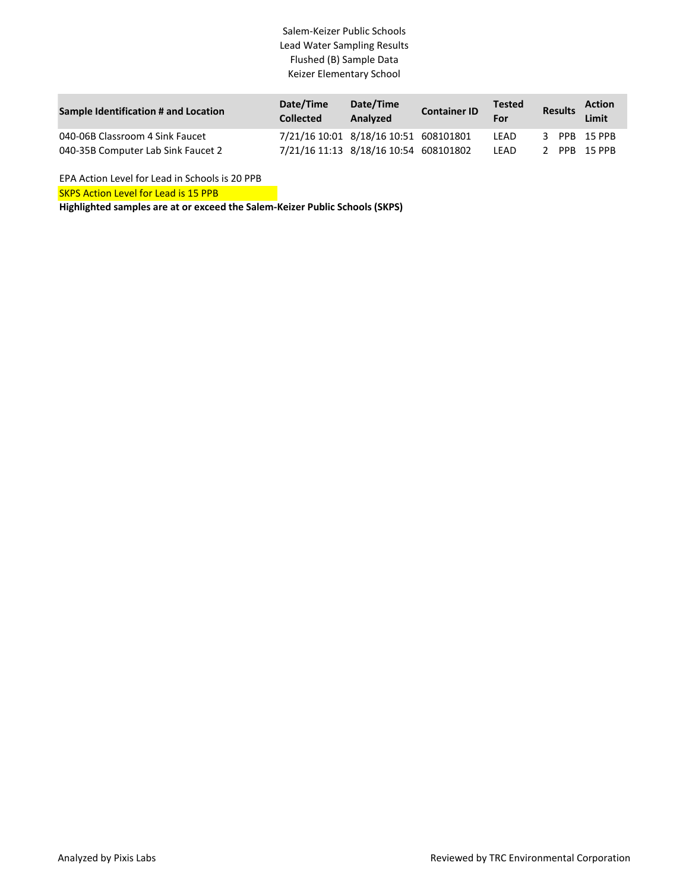## Salem-Keizer Public Schools Lead Water Sampling Results Flushed (B) Sample Data Keizer Elementary School

| Sample Identification # and Location | Date/Time<br><b>Collected</b> | Date/Time<br>Analyzed                 | <b>Container ID</b> | <b>Tested</b><br>For | Results      | <b>Action</b><br>Limit |
|--------------------------------------|-------------------------------|---------------------------------------|---------------------|----------------------|--------------|------------------------|
| 040-06B Classroom 4 Sink Faucet      |                               | 7/21/16 10:01 8/18/16 10:51 608101801 |                     | LEAD                 | 3 PPB 15 PPB |                        |
| 040-35B Computer Lab Sink Faucet 2   |                               | 7/21/16 11:13 8/18/16 10:54 608101802 |                     | LEAD                 |              | PPB 15 PPB             |

**SKPS Action Level for Lead is 15 PPB** EPA Action Level for Lead in Schools is 20 PPB

**Highlighted samples are at or exceed the Salem-Keizer Public Schools (SKPS)**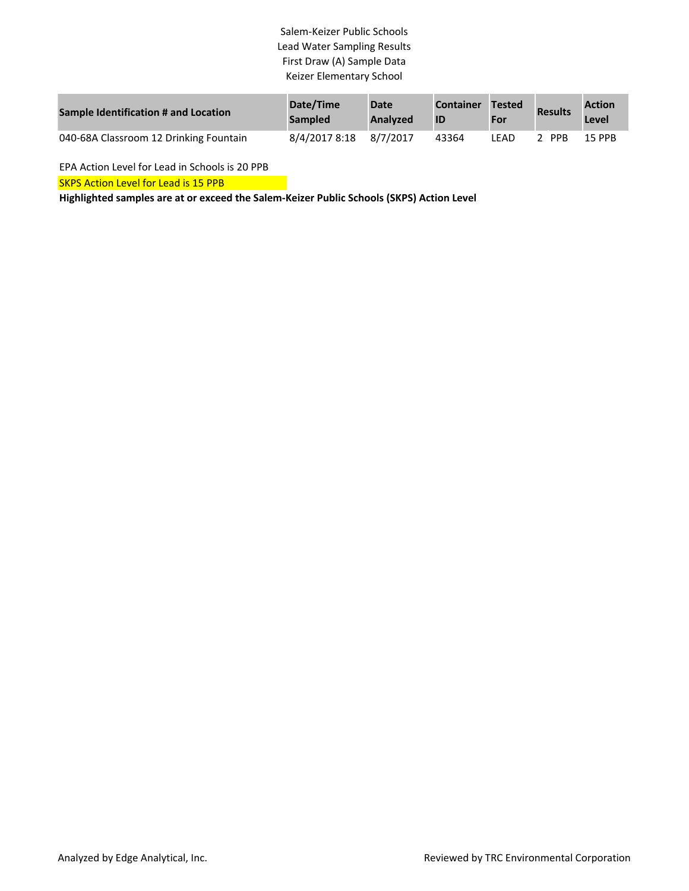# Salem-Keizer Public Schools Lead Water Sampling Results First Draw (A) Sample Data Keizer Elementary School

| Sample Identification # and Location   | Date/Time<br><b>Sampled</b> | <b>Date</b><br><b>Analyzed</b> | <b>Container</b> | <b>Tested</b><br>For | <b>Results</b> | <b>Action</b><br>Level |
|----------------------------------------|-----------------------------|--------------------------------|------------------|----------------------|----------------|------------------------|
| 040-68A Classroom 12 Drinking Fountain | 8/4/2017 8:18               | 8/7/2017                       | 43364            | I FAD                | <b>PPB</b>     | 15 PPB                 |

EPA Action Level for Lead in Schools is 20 PPB

SKPS Action Level for Lead is 15 PPB

**Highlighted samples are at or exceed the Salem-Keizer Public Schools (SKPS) Action Level**